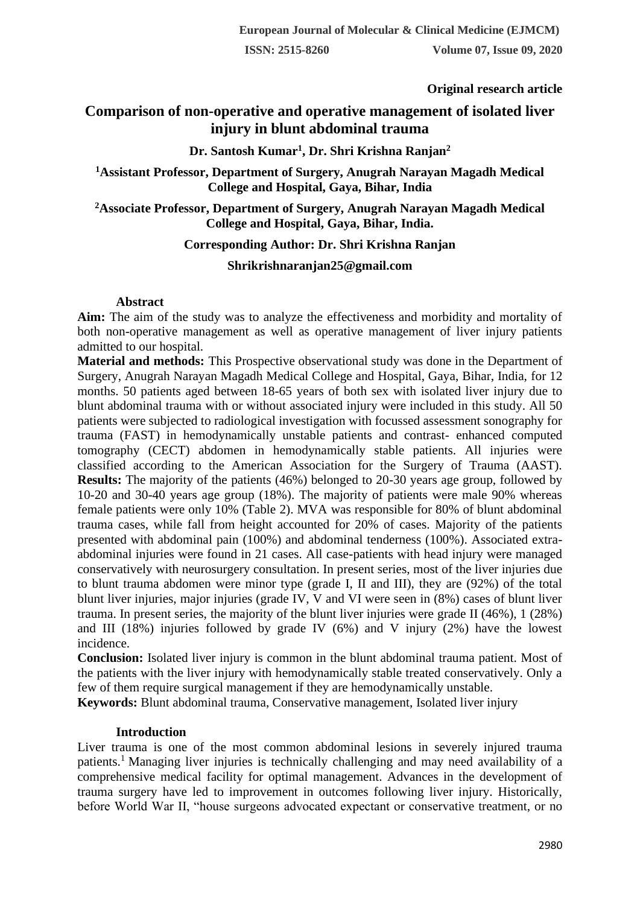**Original research article** 

# **Comparison of non-operative and operative management of isolated liver injury in blunt abdominal trauma**

## **Dr. Santosh Kumar<sup>1</sup> , Dr. Shri Krishna Ranjan<sup>2</sup>**

## **<sup>1</sup>Assistant Professor, Department of Surgery, Anugrah Narayan Magadh Medical College and Hospital, Gaya, Bihar, India**

## **<sup>2</sup>Associate Professor, Department of Surgery, Anugrah Narayan Magadh Medical College and Hospital, Gaya, Bihar, India.**

## **Corresponding Author: Dr. Shri Krishna Ranjan**

### **Shrikrishnaranjan25@gmail.com**

### **Abstract**

**Aim:** The aim of the study was to analyze the effectiveness and morbidity and mortality of both non-operative management as well as operative management of liver injury patients admitted to our hospital.

**Material and methods:** This Prospective observational study was done in the Department of Surgery, Anugrah Narayan Magadh Medical College and Hospital, Gaya, Bihar, India, for 12 months. 50 patients aged between 18-65 years of both sex with isolated liver injury due to blunt abdominal trauma with or without associated injury were included in this study. All 50 patients were subjected to radiological investigation with focussed assessment sonography for trauma (FAST) in hemodynamically unstable patients and contrast- enhanced computed tomography (CECT) abdomen in hemodynamically stable patients. All injuries were classified according to the American Association for the Surgery of Trauma (AAST). **Results:** The majority of the patients (46%) belonged to 20-30 years age group, followed by 10-20 and 30-40 years age group (18%). The majority of patients were male 90% whereas female patients were only 10% (Table 2). MVA was responsible for 80% of blunt abdominal trauma cases, while fall from height accounted for 20% of cases. Majority of the patients presented with abdominal pain (100%) and abdominal tenderness (100%). Associated extraabdominal injuries were found in 21 cases. All case-patients with head injury were managed conservatively with neurosurgery consultation. In present series, most of the liver injuries due to blunt trauma abdomen were minor type (grade I, II and III), they are (92%) of the total blunt liver injuries, major injuries (grade IV, V and VI were seen in (8%) cases of blunt liver trauma. In present series, the majority of the blunt liver injuries were grade II (46%), 1 (28%) and III (18%) injuries followed by grade IV (6%) and V injury (2%) have the lowest incidence.

**Conclusion:** Isolated liver injury is common in the blunt abdominal trauma patient. Most of the patients with the liver injury with hemodynamically stable treated conservatively. Only a few of them require surgical management if they are hemodynamically unstable.

**Keywords:** Blunt abdominal trauma, Conservative management, Isolated liver injury

## **Introduction**

Liver trauma is one of the most common abdominal lesions in severely injured trauma patients.<sup>1</sup>Managing liver injuries is technically challenging and may need availability of a comprehensive medical facility for optimal management. Advances in the development of trauma surgery have led to improvement in outcomes following liver injury. Historically, before World War II, "house surgeons advocated expectant or conservative treatment, or no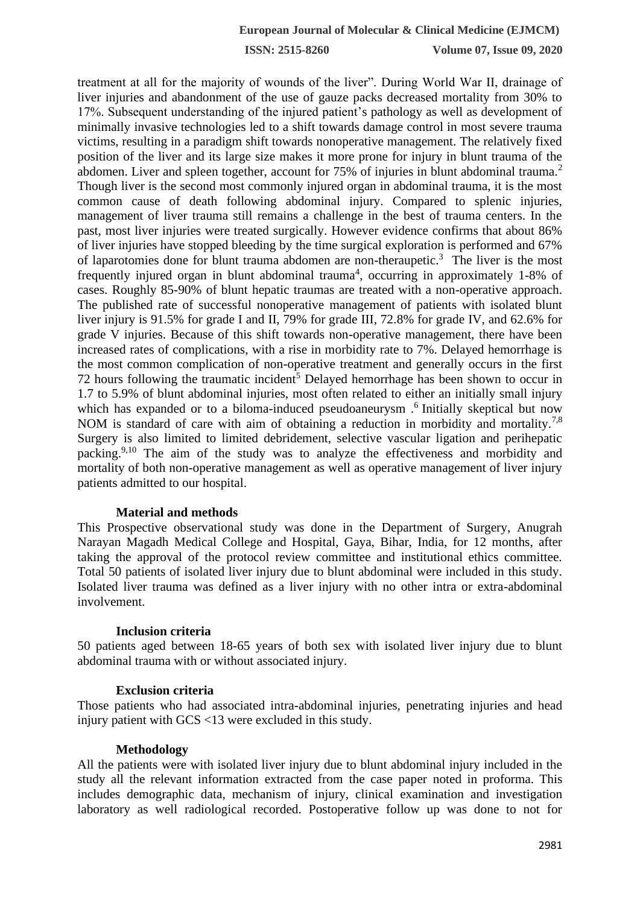**ISSN: 2515-8260 Volume 07, Issue 09, 2020**

treatment at all for the majority of wounds of the liver". During World War II, drainage of liver injuries and abandonment of the use of gauze packs decreased mortality from 30% to 17%. Subsequent understanding of the injured patient's pathology as well as development of minimally invasive technologies led to a shift towards damage control in most severe trauma victims, resulting in a paradigm shift towards nonoperative management. The relatively fixed position of the liver and its large size makes it more prone for injury in blunt trauma of the abdomen. Liver and spleen together, account for  $75\%$  of injuries in blunt abdominal trauma.<sup>2</sup> Though liver is the second most commonly injured organ in abdominal trauma, it is the most common cause of death following abdominal injury. Compared to splenic injuries, management of liver trauma still remains a challenge in the best of trauma centers. In the past, most liver injuries were treated surgically. However evidence confirms that about 86% of liver injuries have stopped bleeding by the time surgical exploration is performed and 67% of laparotomies done for blunt trauma abdomen are non-theraupetic.<sup>3</sup> The liver is the most frequently injured organ in blunt abdominal trauma<sup>4</sup>, occurring in approximately 1-8% of cases. Roughly 85-90% of blunt hepatic traumas are treated with a non-operative approach. The published rate of successful nonoperative management of patients with isolated blunt liver injury is 91.5% for grade I and II, 79% for grade III, 72.8% for grade IV, and 62.6% for grade V injuries. Because of this shift towards non-operative management, there have been increased rates of complications, with a rise in morbidity rate to 7%. Delayed hemorrhage is the most common complication of non-operative treatment and generally occurs in the first 72 hours following the traumatic incident<sup>5</sup> Delayed hemorrhage has been shown to occur in 1.7 to 5.9% of blunt abdominal injuries, most often related to either an initially small injury which has expanded or to a biloma-induced pseudoaneurysm.<sup>6</sup> Initially skeptical but now NOM is standard of care with aim of obtaining a reduction in morbidity and mortality.<sup>7,8</sup> Surgery is also limited to limited debridement, selective vascular ligation and perihepatic packing.9,10 The aim of the study was to analyze the effectiveness and morbidity and mortality of both non-operative management as well as operative management of liver injury patients admitted to our hospital.

#### **Material and methods**

This Prospective observational study was done in the Department of Surgery, Anugrah Narayan Magadh Medical College and Hospital, Gaya, Bihar, India, for 12 months, after taking the approval of the protocol review committee and institutional ethics committee. Total 50 patients of isolated liver injury due to blunt abdominal were included in this study. Isolated liver trauma was defined as a liver injury with no other intra or extra-abdominal involvement.

#### **Inclusion criteria**

50 patients aged between 18-65 years of both sex with isolated liver injury due to blunt abdominal trauma with or without associated injury.

### **Exclusion criteria**

Those patients who had associated intra-abdominal injuries, penetrating injuries and head injury patient with GCS <13 were excluded in this study.

#### **Methodology**

All the patients were with isolated liver injury due to blunt abdominal injury included in the study all the relevant information extracted from the case paper noted in proforma. This includes demographic data, mechanism of injury, clinical examination and investigation laboratory as well radiological recorded. Postoperative follow up was done to not for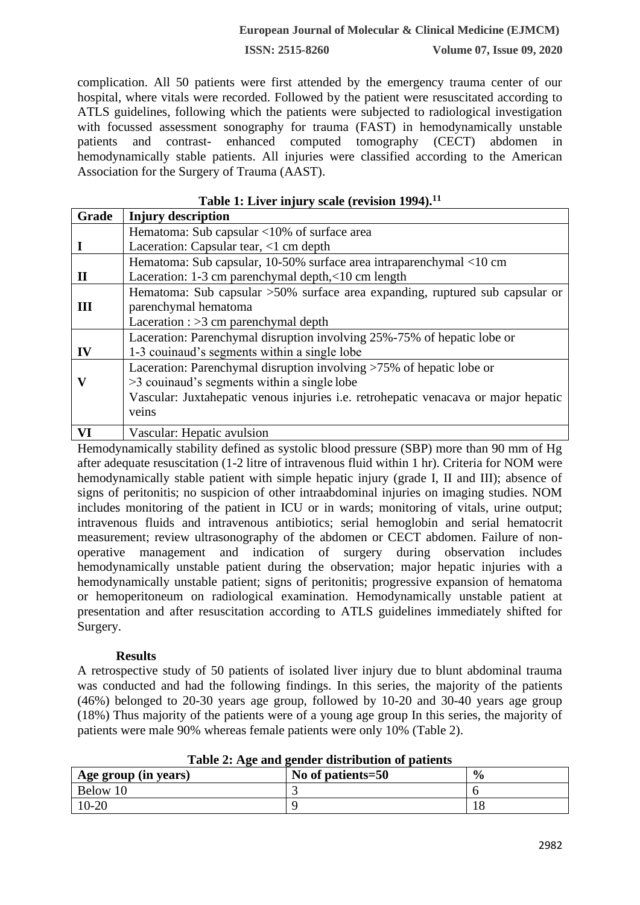#### **European Journal of Molecular & Clinical Medicine (EJMCM)**

**ISSN: 2515-8260 Volume 07, Issue 09, 2020**

complication. All 50 patients were first attended by the emergency trauma center of our hospital, where vitals were recorded. Followed by the patient were resuscitated according to ATLS guidelines, following which the patients were subjected to radiological investigation with focussed assessment sonography for trauma (FAST) in hemodynamically unstable patients and contrast- enhanced computed tomography (CECT) abdomen in hemodynamically stable patients. All injuries were classified according to the American Association for the Surgery of Trauma (AAST).

| Grade | <b>Injury description</b>                                                          |  |  |  |
|-------|------------------------------------------------------------------------------------|--|--|--|
|       | Hematoma: Sub capsular <10% of surface area                                        |  |  |  |
|       | Laceration: Capsular tear, $\langle 1 \rangle$ cm depth                            |  |  |  |
|       | Hematoma: Sub capsular, 10-50% surface area intraparenchymal <10 cm                |  |  |  |
| П     | Laceration: 1-3 cm parenchymal depth,<10 cm length                                 |  |  |  |
|       | Hematoma: Sub capsular >50% surface area expanding, ruptured sub capsular or       |  |  |  |
| Ш     | parenchymal hematoma                                                               |  |  |  |
|       | Laceration : $>3$ cm parenchymal depth                                             |  |  |  |
|       | Laceration: Parenchymal disruption involving 25%-75% of hepatic lobe or            |  |  |  |
| IV    | 1-3 couinaud's segments within a single lobe                                       |  |  |  |
|       | Laceration: Parenchymal disruption involving >75% of hepatic lobe or               |  |  |  |
| V     | >3 couinaud's segments within a single lobe                                        |  |  |  |
|       | Vascular: Juxtahepatic venous injuries i.e. retrohepatic venacava or major hepatic |  |  |  |
|       | veins                                                                              |  |  |  |
| VI    | Vascular: Hepatic avulsion                                                         |  |  |  |

**Table 1: Liver injury scale (revision 1994).<sup>11</sup>**

Hemodynamically stability defined as systolic blood pressure (SBP) more than 90 mm of Hg after adequate resuscitation (1-2 litre of intravenous fluid within 1 hr). Criteria for NOM were hemodynamically stable patient with simple hepatic injury (grade I, II and III); absence of signs of peritonitis; no suspicion of other intraabdominal injuries on imaging studies. NOM includes monitoring of the patient in ICU or in wards; monitoring of vitals, urine output; intravenous fluids and intravenous antibiotics; serial hemoglobin and serial hematocrit measurement; review ultrasonography of the abdomen or CECT abdomen. Failure of nonoperative management and indication of surgery during observation includes hemodynamically unstable patient during the observation; major hepatic injuries with a hemodynamically unstable patient; signs of peritonitis; progressive expansion of hematoma or hemoperitoneum on radiological examination. Hemodynamically unstable patient at presentation and after resuscitation according to ATLS guidelines immediately shifted for Surgery.

### **Results**

A retrospective study of 50 patients of isolated liver injury due to blunt abdominal trauma was conducted and had the following findings. In this series, the majority of the patients (46%) belonged to 20-30 years age group, followed by 10-20 and 30-40 years age group (18%) Thus majority of the patients were of a young age group In this series, the majority of patients were male 90% whereas female patients were only 10% (Table 2).

| Age group (in years) | No of patients=50 | $\frac{0}{0}$ |
|----------------------|-------------------|---------------|
| Below 10             |                   |               |
| 10-20                |                   | 10            |

**Table 2: Age and gender distribution of patients**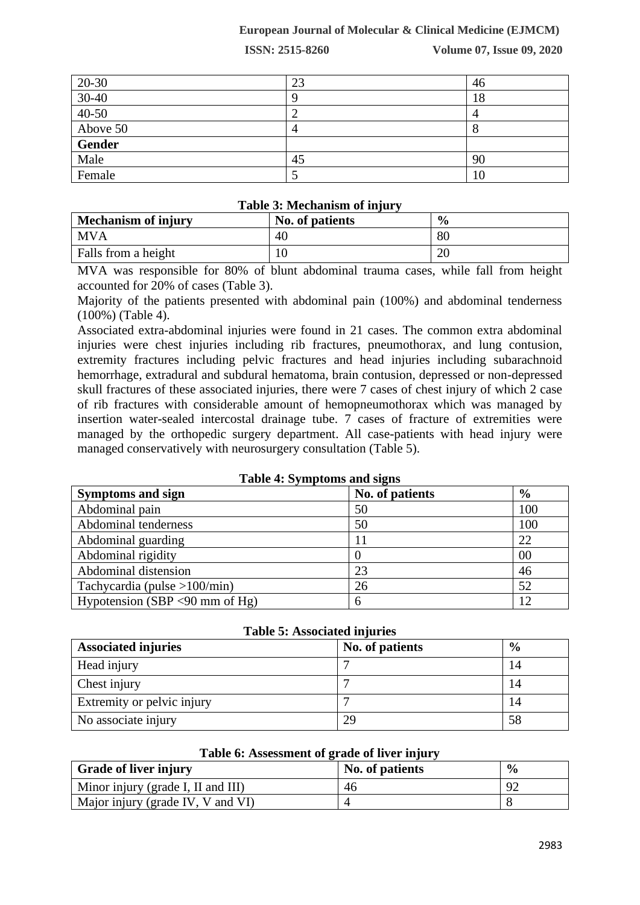### **European Journal of Molecular & Clinical Medicine (EJMCM)**

**ISSN: 2515-8260 Volume 07, Issue 09, 2020**

| $20 - 30$             | 23 | 46 |
|-----------------------|----|----|
| $\frac{30-40}{40-50}$ |    | 18 |
|                       | ∠  |    |
| Above 50              |    |    |
| <b>Gender</b>         |    |    |
| Male                  | 45 | 90 |
| Female                |    | 10 |

### **Table 3: Mechanism of injury**

| <b>Mechanism of injury</b> | No. of patients | $\frac{0}{0}$ |
|----------------------------|-----------------|---------------|
| <b>MVA</b>                 | 40              | 80            |
| Falls from a height        |                 | 20            |

MVA was responsible for 80% of blunt abdominal trauma cases, while fall from height accounted for 20% of cases (Table 3).

Majority of the patients presented with abdominal pain (100%) and abdominal tenderness (100%) (Table 4).

Associated extra-abdominal injuries were found in 21 cases. The common extra abdominal injuries were chest injuries including rib fractures, pneumothorax, and lung contusion, extremity fractures including pelvic fractures and head injuries including subarachnoid hemorrhage, extradural and subdural hematoma, brain contusion, depressed or non-depressed skull fractures of these associated injuries, there were 7 cases of chest injury of which 2 case of rib fractures with considerable amount of hemopneumothorax which was managed by insertion water-sealed intercostal drainage tube. 7 cases of fracture of extremities were managed by the orthopedic surgery department. All case-patients with head injury were managed conservatively with neurosurgery consultation (Table 5).

| Table 4. Dyniptoms and signs    |                 |               |  |
|---------------------------------|-----------------|---------------|--|
| <b>Symptoms and sign</b>        | No. of patients | $\frac{6}{9}$ |  |
| Abdominal pain                  | 50              | 100           |  |
| Abdominal tenderness            | 50              | 100           |  |
| Abdominal guarding              |                 | 22            |  |
| Abdominal rigidity              |                 | 00            |  |
| Abdominal distension            | 23              | 46            |  |
| Tachycardia (pulse $>100/min$ ) | 26              | 52            |  |
| Hypotension (SBP <90 mm of Hg)  | h               | 12            |  |

## **Table 4: Symptoms and signs**

| <b>Associated injuries</b> | No. of patients | $\frac{6}{9}$ |
|----------------------------|-----------------|---------------|
| Head injury                |                 |               |
| Chest injury               |                 |               |
| Extremity or pelvic injury |                 |               |
| No associate injury        | 29              | 58            |

#### **Table 6: Assessment of grade of liver injury**

| <b>Grade of liver injury</b>       | No. of patients | $\frac{6}{9}$ |
|------------------------------------|-----------------|---------------|
| Minor injury (grade I, II and III) | 46              | 92            |
| Major injury (grade IV, V and VI)  |                 |               |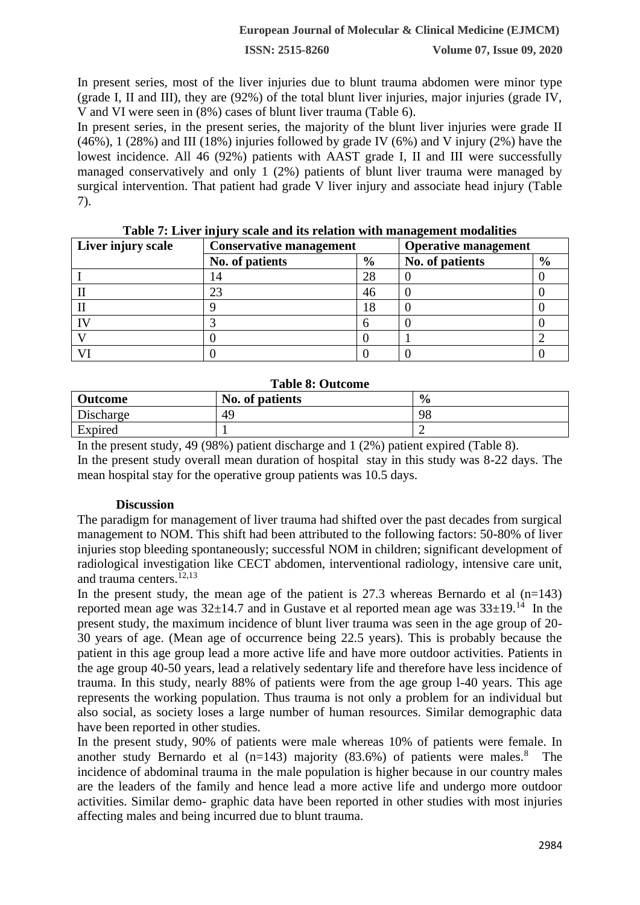**ISSN: 2515-8260 Volume 07, Issue 09, 2020**

In present series, most of the liver injuries due to blunt trauma abdomen were minor type (grade I, II and III), they are (92%) of the total blunt liver injuries, major injuries (grade IV, V and VI were seen in (8%) cases of blunt liver trauma (Table 6).

In present series, in the present series, the majority of the blunt liver injuries were grade II  $(46\%)$ , 1 (28%) and III (18%) injuries followed by grade IV (6%) and V injury (2%) have the lowest incidence. All 46 (92%) patients with AAST grade I, II and III were successfully managed conservatively and only 1 (2%) patients of blunt liver trauma were managed by surgical intervention. That patient had grade V liver injury and associate head injury (Table 7).

| Liver injury scale | <b>Conservative management</b> |               | <b>Operative management</b> |               |
|--------------------|--------------------------------|---------------|-----------------------------|---------------|
|                    | No. of patients                | $\frac{6}{9}$ | No. of patients             | $\frac{6}{6}$ |
|                    | . 4                            | 28            |                             |               |
|                    |                                | 46            |                             |               |
|                    |                                |               |                             |               |
|                    |                                |               |                             |               |
|                    |                                |               |                             |               |
|                    |                                |               |                             |               |

**Table 7: Liver injury scale and its relation with management modalities**

#### **Table 8: Outcome**

| <b>Outcome</b> | No. of patients | $\frac{0}{0}$ |
|----------------|-----------------|---------------|
| Discharge      | 49              | 98            |
| Expired        |                 |               |

In the present study, 49 (98%) patient discharge and 1 (2%) patient expired (Table 8). In the present study overall mean duration of hospital stay in this study was 8-22 days. The mean hospital stay for the operative group patients was 10.5 days.

### **Discussion**

The paradigm for management of liver trauma had shifted over the past decades from surgical management to NOM. This shift had been attributed to the following factors: 50-80% of liver injuries stop bleeding spontaneously; successful NOM in children; significant development of radiological investigation like CECT abdomen, interventional radiology, intensive care unit, and trauma centers. $12,13$ 

In the present study, the mean age of the patient is  $27.3$  whereas Bernardo et al (n=143) reported mean age was  $32\pm14.7$  and in Gustave et al reported mean age was  $33\pm19$ .<sup>14</sup> In the present study, the maximum incidence of blunt liver trauma was seen in the age group of 20- 30 years of age. (Mean age of occurrence being 22.5 years). This is probably because the patient in this age group lead a more active life and have more outdoor activities. Patients in the age group 40-50 years, lead a relatively sedentary life and therefore have less incidence of trauma. In this study, nearly 88% of patients were from the age group l-40 years. This age represents the working population. Thus trauma is not only a problem for an individual but also social, as society loses a large number of human resources. Similar demographic data have been reported in other studies.

In the present study, 90% of patients were male whereas 10% of patients were female. In another study Bernardo et al  $(n=143)$  majority  $(83.6%)$  of patients were males.<sup>8</sup> The incidence of abdominal trauma in the male population is higher because in our country males are the leaders of the family and hence lead a more active life and undergo more outdoor activities. Similar demo- graphic data have been reported in other studies with most injuries affecting males and being incurred due to blunt trauma.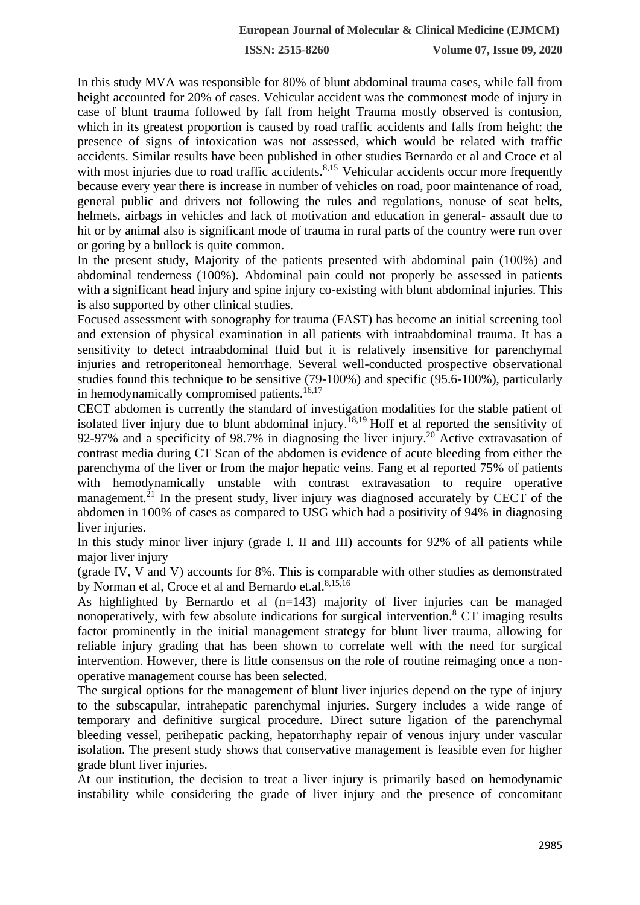**ISSN: 2515-8260 Volume 07, Issue 09, 2020**

In this study MVA was responsible for 80% of blunt abdominal trauma cases, while fall from height accounted for 20% of cases. Vehicular accident was the commonest mode of injury in case of blunt trauma followed by fall from height Trauma mostly observed is contusion, which in its greatest proportion is caused by road traffic accidents and falls from height: the presence of signs of intoxication was not assessed, which would be related with traffic accidents. Similar results have been published in other studies Bernardo et al and Croce et al with most injuries due to road traffic accidents.<sup>8,15</sup> Vehicular accidents occur more frequently because every year there is increase in number of vehicles on road, poor maintenance of road, general public and drivers not following the rules and regulations, nonuse of seat belts, helmets, airbags in vehicles and lack of motivation and education in general- assault due to hit or by animal also is significant mode of trauma in rural parts of the country were run over or goring by a bullock is quite common.

In the present study, Majority of the patients presented with abdominal pain (100%) and abdominal tenderness (100%). Abdominal pain could not properly be assessed in patients with a significant head injury and spine injury co-existing with blunt abdominal injuries. This is also supported by other clinical studies.

Focused assessment with sonography for trauma (FAST) has become an initial screening tool and extension of physical examination in all patients with intraabdominal trauma. It has a sensitivity to detect intraabdominal fluid but it is relatively insensitive for parenchymal injuries and retroperitoneal hemorrhage. Several well-conducted prospective observational studies found this technique to be sensitive (79-100%) and specific (95.6-100%), particularly in hemodynamically compromised patients.<sup>16,17</sup>

CECT abdomen is currently the standard of investigation modalities for the stable patient of isolated liver injury due to blunt abdominal injury.<sup>18,19</sup> Hoff et al reported the sensitivity of 92-97% and a specificity of 98.7% in diagnosing the liver injury.<sup>20</sup> Active extravasation of contrast media during CT Scan of the abdomen is evidence of acute bleeding from either the parenchyma of the liver or from the major hepatic veins. Fang et al reported 75% of patients with hemodynamically unstable with contrast extravasation to require operative management.<sup>21</sup> In the present study, liver injury was diagnosed accurately by CECT of the abdomen in 100% of cases as compared to USG which had a positivity of 94% in diagnosing liver injuries.

In this study minor liver injury (grade I. II and III) accounts for 92% of all patients while major liver injury

(grade IV, V and V) accounts for 8%. This is comparable with other studies as demonstrated by Norman et al, Croce et al and Bernardo et al.<sup>8,15,16</sup>

As highlighted by Bernardo et al (n=143) majority of liver injuries can be managed nonoperatively, with few absolute indications for surgical intervention.<sup>8</sup> CT imaging results factor prominently in the initial management strategy for blunt liver trauma, allowing for reliable injury grading that has been shown to correlate well with the need for surgical intervention. However, there is little consensus on the role of routine reimaging once a nonoperative management course has been selected.

The surgical options for the management of blunt liver injuries depend on the type of injury to the subscapular, intrahepatic parenchymal injuries. Surgery includes a wide range of temporary and definitive surgical procedure. Direct suture ligation of the parenchymal bleeding vessel, perihepatic packing, hepatorrhaphy repair of venous injury under vascular isolation. The present study shows that conservative management is feasible even for higher grade blunt liver injuries.

At our institution, the decision to treat a liver injury is primarily based on hemodynamic instability while considering the grade of liver injury and the presence of concomitant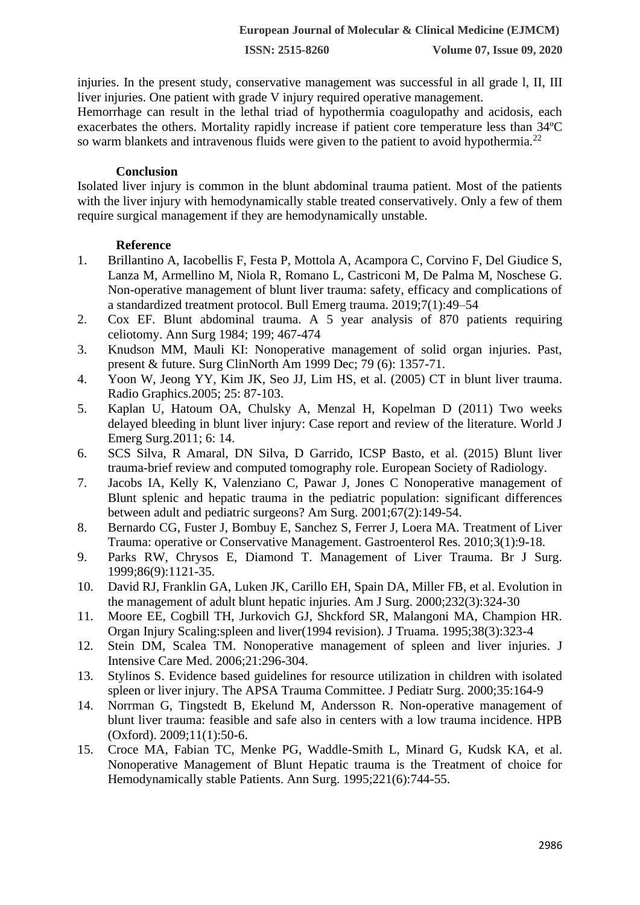injuries. In the present study, conservative management was successful in all grade l, II, III liver injuries. One patient with grade V injury required operative management.

Hemorrhage can result in the lethal triad of hypothermia coagulopathy and acidosis, each exacerbates the others. Mortality rapidly increase if patient core temperature less than 34ºC so warm blankets and intravenous fluids were given to the patient to avoid hypothermia.<sup>22</sup>

### **Conclusion**

Isolated liver injury is common in the blunt abdominal trauma patient. Most of the patients with the liver injury with hemodynamically stable treated conservatively. Only a few of them require surgical management if they are hemodynamically unstable.

### **Reference**

- 1. Brillantino A, Iacobellis F, Festa P, Mottola A, Acampora C, Corvino F, Del Giudice S, Lanza M, Armellino M, Niola R, Romano L, Castriconi M, De Palma M, Noschese G. Non-operative management of blunt liver trauma: safety, efficacy and complications of a standardized treatment protocol. Bull Emerg trauma. 2019;7(1):49–54
- 2. Cox EF. Blunt abdominal trauma. A 5 year analysis of 870 patients requiring celiotomy. Ann Surg 1984; 199; 467-474
- 3. Knudson MM, Mauli KI: Nonoperative management of solid organ injuries. Past, present & future. Surg ClinNorth Am 1999 Dec; 79 (6): 1357-71.
- 4. Yoon W, Jeong YY, Kim JK, Seo JJ, Lim HS, et al. (2005) CT in blunt liver trauma. Radio Graphics.2005; 25: 87-103.
- 5. Kaplan U, Hatoum OA, Chulsky A, Menzal H, Kopelman D (2011) Two weeks delayed bleeding in blunt liver injury: Case report and review of the literature. World J Emerg Surg.2011; 6: 14.
- 6. SCS Silva, R Amaral, DN Silva, D Garrido, ICSP Basto, et al. (2015) Blunt liver trauma-brief review and computed tomography role. European Society of Radiology.
- 7. Jacobs IA, Kelly K, Valenziano C, Pawar J, Jones C Nonoperative management of Blunt splenic and hepatic trauma in the pediatric population: significant differences between adult and pediatric surgeons? Am Surg. 2001;67(2):149-54.
- 8. Bernardo CG, Fuster J, Bombuy E, Sanchez S, Ferrer J, Loera MA. Treatment of Liver Trauma: operative or Conservative Management. Gastroenterol Res. 2010;3(1):9-18.
- 9. Parks RW, Chrysos E, Diamond T. Management of Liver Trauma. Br J Surg. 1999;86(9):1121-35.
- 10. David RJ, Franklin GA, Luken JK, Carillo EH, Spain DA, Miller FB, et al. Evolution in the management of adult blunt hepatic injuries. Am J Surg. 2000;232(3):324-30
- 11. Moore EE, Cogbill TH, Jurkovich GJ, Shckford SR, Malangoni MA, Champion HR. Organ Injury Scaling:spleen and liver(1994 revision). J Truama. 1995;38(3):323-4
- 12. Stein DM, Scalea TM. Nonoperative management of spleen and liver injuries. J Intensive Care Med. 2006;21:296-304.
- 13. Stylinos S. Evidence based guidelines for resource utilization in children with isolated spleen or liver injury. The APSA Trauma Committee. J Pediatr Surg. 2000;35:164-9
- 14. Norrman G, Tingstedt B, Ekelund M, Andersson R. Non-operative management of blunt liver trauma: feasible and safe also in centers with a low trauma incidence. HPB (Oxford). 2009;11(1):50-6.
- 15. Croce MA, Fabian TC, Menke PG, Waddle-Smith L, Minard G, Kudsk KA, et al. Nonoperative Management of Blunt Hepatic trauma is the Treatment of choice for Hemodynamically stable Patients. Ann Surg. 1995;221(6):744-55.